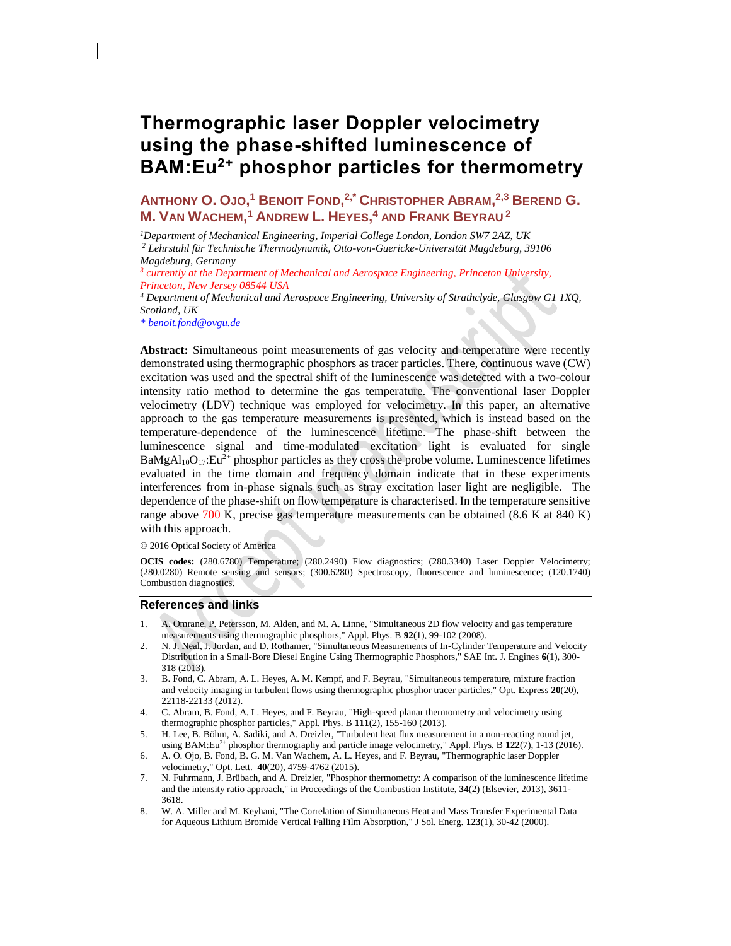# **Thermographic laser Doppler velocimetry using the phase-shifted luminescence of BAM:Eu2+ phosphor particles for thermometry**

**ANTHONY O. OJO, <sup>1</sup> BENOIT FOND, 2,\* CHRISTOPHER ABRAM, 2,3 BEREND G. M. VAN WACHEM, <sup>1</sup> ANDREW L. HEYES, <sup>4</sup> AND FRANK BEYRAU <sup>2</sup>**

*<sup>1</sup>Department of Mechanical Engineering, Imperial College London, London SW7 2AZ, UK*

*<sup>2</sup> Lehrstuhl für Technische Thermodynamik, Otto-von-Guericke-Universität Magdeburg, 39106 Magdeburg, Germany*

*3 currently at the Department of Mechanical and Aerospace Engineering, Princeton University, Princeton, New Jersey 08544 USA*

*<sup>4</sup> Department of Mechanical and Aerospace Engineering, University of Strathclyde, Glasgow G1 1XQ, Scotland, UK*

*\* [benoit.fond@ovgu.de](mailto:*opex@osa.org)* 

**Abstract:** Simultaneous point measurements of gas velocity and temperature were recently demonstrated using thermographic phosphors as tracer particles. There, continuous wave (CW) excitation was used and the spectral shift of the luminescence was detected with a two-colour intensity ratio method to determine the gas temperature. The conventional laser Doppler velocimetry (LDV) technique was employed for velocimetry. In this paper, an alternative approach to the gas temperature measurements is presented, which is instead based on the temperature-dependence of the luminescence lifetime. The phase-shift between the luminescence signal and time-modulated excitation light is evaluated for single  $BaMgAl<sub>10</sub>O<sub>17</sub>:Eu<sup>2+</sup>$  phosphor particles as they cross the probe volume. Luminescence lifetimes evaluated in the time domain and frequency domain indicate that in these experiments interferences from in-phase signals such as stray excitation laser light are negligible. The dependence of the phase-shift on flow temperature is characterised. In the temperature sensitive range above 700 K, precise gas temperature measurements can be obtained (8.6 K at 840 K) with this approach.

© 2016 Optical Society of America

**OCIS codes:** (280.6780) Temperature; (280.2490) Flow diagnostics; (280.3340) Laser Doppler Velocimetry; (280.0280) Remote sensing and sensors; (300.6280) Spectroscopy, fluorescence and luminescence; (120.1740) Combustion diagnostics.

# **References and links**

- 1. A. Omrane, P. Petersson, M. Alden, and M. A. Linne, "Simultaneous 2D flow velocity and gas temperature measurements using thermographic phosphors," Appl. Phys. B **92**(1), 99-102 (2008).
- 2. N. J. Neal, J. Jordan, and D. Rothamer, "Simultaneous Measurements of In-Cylinder Temperature and Velocity Distribution in a Small-Bore Diesel Engine Using Thermographic Phosphors," SAE Int. J. Engines **6**(1), 300- 318 (2013).
- 3. B. Fond, C. Abram, A. L. Heyes, A. M. Kempf, and F. Beyrau, "Simultaneous temperature, mixture fraction and velocity imaging in turbulent flows using thermographic phosphor tracer particles," Opt. Express **20**(20), 22118-22133 (2012).
- 4. C. Abram, B. Fond, A. L. Heyes, and F. Beyrau, "High-speed planar thermometry and velocimetry using thermographic phosphor particles," Appl. Phys. B **111**(2), 155-160 (2013).
- 5. H. Lee, B. Böhm, A. Sadiki, and A. Dreizler, "Turbulent heat flux measurement in a non-reacting round jet, using BAM:Eu<sup>2+</sup> phosphor thermography and particle image velocimetry," Appl. Phys. B  $122(7)$ , 1-13 (2016).
- 6. A. O. Ojo, B. Fond, B. G. M. Van Wachem, A. L. Heyes, and F. Beyrau, "Thermographic laser Doppler velocimetry," Opt. Lett. **40**(20), 4759-4762 (2015).
- 7. N. Fuhrmann, J. Brübach, and A. Dreizler, "Phosphor thermometry: A comparison of the luminescence lifetime and the intensity ratio approach," in Proceedings of the Combustion Institute, **34**(2) (Elsevier, 2013), 3611- 3618.
- 8. W. A. Miller and M. Keyhani, "The Correlation of Simultaneous Heat and Mass Transfer Experimental Data for Aqueous Lithium Bromide Vertical Falling Film Absorption," J Sol. Energ. **123**(1), 30-42 (2000).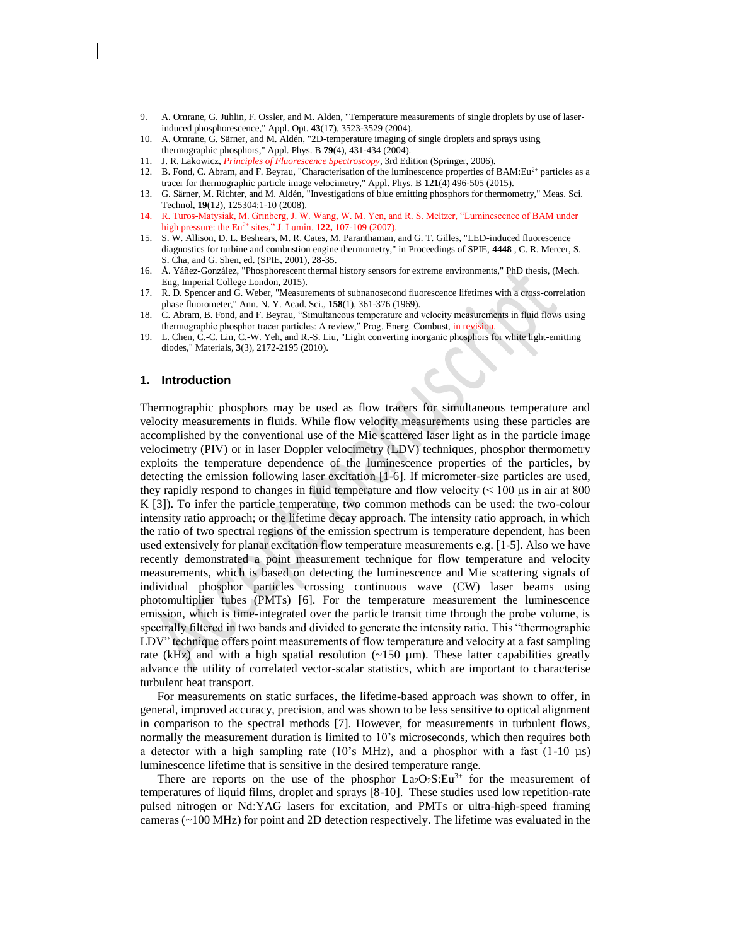- 9. A. Omrane, G. Juhlin, F. Ossler, and M. Alden, "Temperature measurements of single droplets by use of laserinduced phosphorescence," Appl. Opt. **43**(17), 3523-3529 (2004).
- 10. A. Omrane, G. Särner, and M. Aldén, "2D-temperature imaging of single droplets and sprays using thermographic phosphors," Appl. Phys. B **79**(4), 431-434 (2004).
- 11. J. R. Lakowicz, *Principles of Fluorescence Spectroscopy*, 3rd Edition (Springer, 2006).
- 12. B. Fond, C. Abram, and F. Beyrau, "Characterisation of the luminescence properties of BAM: Eu<sup>2+</sup> particles as a tracer for thermographic particle image velocimetry," Appl. Phys. B **121**(4) 496-505 (2015).
- 13. G. Särner, M. Richter, and M. Aldén, "Investigations of blue emitting phosphors for thermometry," Meas. Sci. Technol, **19**(12), 125304:1-10 (2008).
- 14. R. Turos-Matysiak, M. Grinberg, J. W. Wang, W. M. Yen, and R. S. Meltzer, "Luminescence of BAM under high pressure: the Eu<sup>2+</sup> sites," J. Lumin. **122,** 107-109 (2007).
- 15. S. W. Allison, D. L. Beshears, M. R. Cates, M. Paranthaman, and G. T. Gilles, "LED-induced fluorescence diagnostics for turbine and combustion engine thermometry," in Proceedings of SPIE, **4448** , C. R. Mercer, S. S. Cha, and G. Shen, ed. (SPIE, 2001), 28-35.
- 16. Á. Yáñez-González, "Phosphorescent thermal history sensors for extreme environments," PhD thesis, (Mech. Eng, Imperial College London, 2015).
- 17. R. D. Spencer and G. Weber, "Measurements of subnanosecond fluorescence lifetimes with a cross-correlation phase fluorometer," Ann. N. Y. Acad. Sci., **158**(1), 361-376 (1969).
- 18. C. Abram, B. Fond, and F. Beyrau, "Simultaneous temperature and velocity measurements in fluid flows using thermographic phosphor tracer particles: A review," Prog. Energ. Combust, in revision
- 19. L. Chen, C.-C. Lin, C.-W. Yeh, and R.-S. Liu, "Light converting inorganic phosphors for white light-emitting diodes," Materials, **3**(3), 2172-2195 (2010).

#### **1. Introduction**

Thermographic phosphors may be used as flow tracers for simultaneous temperature and velocity measurements in fluids. While flow velocity measurements using these particles are accomplished by the conventional use of the Mie scattered laser light as in the particle image velocimetry (PIV) or in laser Doppler velocimetry (LDV) techniques, phosphor thermometry exploits the temperature dependence of the luminescence properties of the particles, by detecting the emission following laser excitation [1-6]. If micrometer-size particles are used, they rapidly respond to changes in fluid temperature and flow velocity (< 100 μs in air at 800 K [3]). To infer the particle temperature, two common methods can be used: the two-colour intensity ratio approach; or the lifetime decay approach. The intensity ratio approach, in which the ratio of two spectral regions of the emission spectrum is temperature dependent, has been used extensively for planar excitation flow temperature measurements e.g. [1-5]. Also we have recently demonstrated a point measurement technique for flow temperature and velocity measurements, which is based on detecting the luminescence and Mie scattering signals of individual phosphor particles crossing continuous wave (CW) laser beams using photomultiplier tubes (PMTs) [6]. For the temperature measurement the luminescence emission, which is time-integrated over the particle transit time through the probe volume, is spectrally filtered in two bands and divided to generate the intensity ratio. This "thermographic LDV" technique offers point measurements of flow temperature and velocity at a fast sampling rate (kHz) and with a high spatial resolution  $(\sim 150 \text{ µm})$ . These latter capabilities greatly advance the utility of correlated vector-scalar statistics, which are important to characterise turbulent heat transport.

For measurements on static surfaces, the lifetime-based approach was shown to offer, in general, improved accuracy, precision, and was shown to be less sensitive to optical alignment in comparison to the spectral methods [7]. However, for measurements in turbulent flows, normally the measurement duration is limited to 10's microseconds, which then requires both a detector with a high sampling rate (10's MHz), and a phosphor with a fast (1-10 µs) luminescence lifetime that is sensitive in the desired temperature range.

There are reports on the use of the phosphor  $La_2O_2S:Eu^{3+}$  for the measurement of temperatures of liquid films, droplet and sprays [8-10]. These studies used low repetition-rate pulsed nitrogen or Nd:YAG lasers for excitation, and PMTs or ultra-high-speed framing cameras (~100 MHz) for point and 2D detection respectively. The lifetime was evaluated in the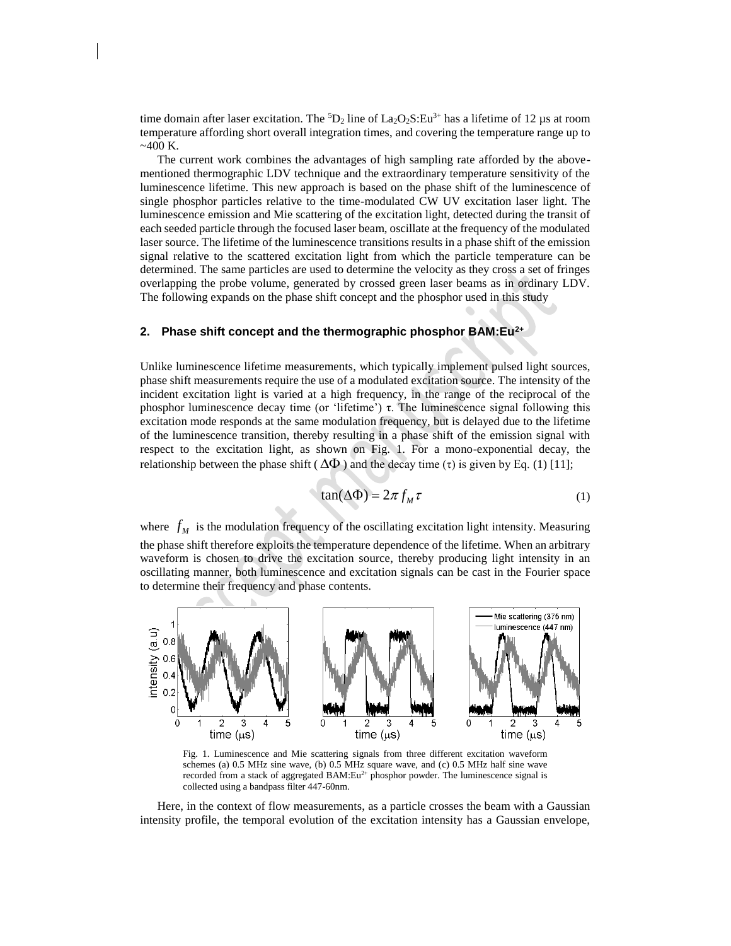time domain after laser excitation. The  ${}^5D_2$  line of La<sub>2</sub>O<sub>2</sub>S:Eu<sup>3+</sup> has a lifetime of 12 µs at room temperature affording short overall integration times, and covering the temperature range up to  $~100 K.$ 

The current work combines the advantages of high sampling rate afforded by the abovementioned thermographic LDV technique and the extraordinary temperature sensitivity of the luminescence lifetime. This new approach is based on the phase shift of the luminescence of single phosphor particles relative to the time-modulated CW UV excitation laser light. The luminescence emission and Mie scattering of the excitation light, detected during the transit of each seeded particle through the focused laser beam, oscillate at the frequency of the modulated laser source. The lifetime of the luminescence transitions results in a phase shift of the emission signal relative to the scattered excitation light from which the particle temperature can be determined. The same particles are used to determine the velocity as they cross a set of fringes overlapping the probe volume, generated by crossed green laser beams as in ordinary LDV. The following expands on the phase shift concept and the phosphor used in this study

# **2. Phase shift concept and the thermographic phosphor BAM:Eu2+**

Unlike luminescence lifetime measurements, which typically implement pulsed light sources, phase shift measurements require the use of a modulated excitation source. The intensity of the incident excitation light is varied at a high frequency, in the range of the reciprocal of the phosphor luminescence decay time (or 'lifetime') τ. The luminescence signal following this excitation mode responds at the same modulation frequency, but is delayed due to the lifetime of the luminescence transition, thereby resulting in a phase shift of the emission signal with respect to the excitation light, as shown on Fig. 1. For a mono-exponential decay, the relationship between the phase shift ( $\Delta \Phi$ ) and the decay time (τ) is given by Eq. (1) [11];

$$
tan(\Delta \Phi) = 2\pi f_M \tau \tag{1}
$$

where  $f_M$  is the modulation frequency of the oscillating excitation light intensity. Measuring the phase shift therefore exploits the temperature dependence of the lifetime. When an arbitrary waveform is chosen to drive the excitation source, thereby producing light intensity in an oscillating manner, both luminescence and excitation signals can be cast in the Fourier space to determine their frequency and phase contents.



Fig. 1. Luminescence and Mie scattering signals from three different excitation waveform schemes (a) 0.5 MHz sine wave, (b) 0.5 MHz square wave, and (c) 0.5 MHz half sine wave recorded from a stack of aggregated BAM: $Eu^{2+}$  phosphor powder. The luminescence signal is collected using a bandpass filter 447-60nm.

Here, in the context of flow measurements, as a particle crosses the beam with a Gaussian intensity profile, the temporal evolution of the excitation intensity has a Gaussian envelope,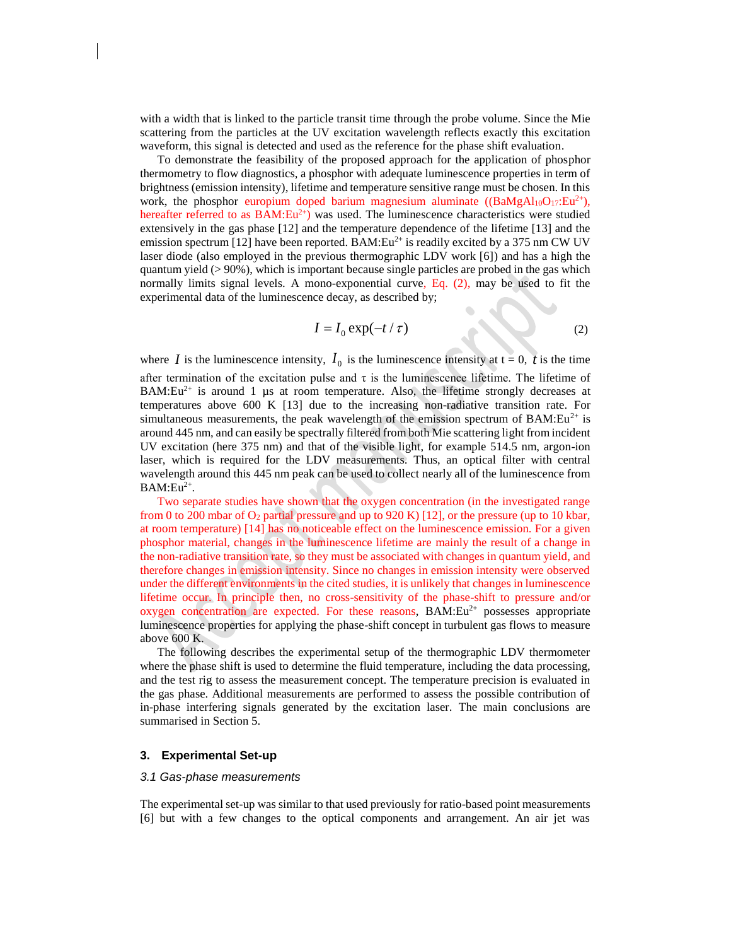with a width that is linked to the particle transit time through the probe volume. Since the Mie scattering from the particles at the UV excitation wavelength reflects exactly this excitation waveform, this signal is detected and used as the reference for the phase shift evaluation.

To demonstrate the feasibility of the proposed approach for the application of phosphor thermometry to flow diagnostics, a phosphor with adequate luminescence properties in term of brightness (emission intensity), lifetime and temperature sensitive range must be chosen. In this work, the phosphor europium doped barium magnesium aluminate  $((BaMgAl_{10}O_{17}:Eu^{2+})$ , hereafter referred to as  $BAM:Eu^{2+}$ ) was used. The luminescence characteristics were studied extensively in the gas phase [12] and the temperature dependence of the lifetime [13] and the emission spectrum [12] have been reported. BAM: $Eu^{2+}$  is readily excited by a 375 nm CW UV laser diode (also employed in the previous thermographic LDV work [6]) and has a high the quantum yield (> 90%), which is important because single particles are probed in the gas which normally limits signal levels. A mono-exponential curve, Eq. (2), may be used to fit the experimental data of the luminescence decay, as described by;

$$
I = I_0 \exp(-t/\tau) \tag{2}
$$

where *I* is the luminescence intensity,  $I_0$  is the luminescence intensity at  $t = 0$ , *t* is the time after termination of the excitation pulse and  $\tau$  is the luminescence lifetime. The lifetime of  $BAM:Eu^{2+}$  is around 1 µs at room temperature. Also, the lifetime strongly decreases at temperatures above 600 K [13] due to the increasing non-radiative transition rate. For simultaneous measurements, the peak wavelength of the emission spectrum of BAM: $Eu^{2+}$  is around 445 nm, and can easily be spectrally filtered from both Mie scattering light from incident UV excitation (here 375 nm) and that of the visible light, for example 514.5 nm, argon-ion laser, which is required for the LDV measurements. Thus, an optical filter with central wavelength around this 445 nm peak can be used to collect nearly all of the luminescence from  $BAM:Eu^{2+}.$ 

Two separate studies have shown that the oxygen concentration (in the investigated range from 0 to 200 mbar of  $O_2$  partial pressure and up to 920 K) [12], or the pressure (up to 10 kbar, at room temperature) [14] has no noticeable effect on the luminescence emission. For a given phosphor material, changes in the luminescence lifetime are mainly the result of a change in the non-radiative transition rate, so they must be associated with changes in quantum yield, and therefore changes in emission intensity. Since no changes in emission intensity were observed under the different environments in the cited studies, it is unlikely that changes in luminescence lifetime occur. In principle then, no cross-sensitivity of the phase-shift to pressure and/or oxygen concentration are expected. For these reasons,  $BAM:Eu^{2+}$  possesses appropriate luminescence properties for applying the phase-shift concept in turbulent gas flows to measure above 600 K.

The following describes the experimental setup of the thermographic LDV thermometer where the phase shift is used to determine the fluid temperature, including the data processing, and the test rig to assess the measurement concept. The temperature precision is evaluated in the gas phase. Additional measurements are performed to assess the possible contribution of in-phase interfering signals generated by the excitation laser. The main conclusions are summarised in Section 5.

# **3. Experimental Set-up**

#### *3.1 Gas-phase measurements*

The experimental set-up was similar to that used previously for ratio-based point measurements [6] but with a few changes to the optical components and arrangement. An air jet was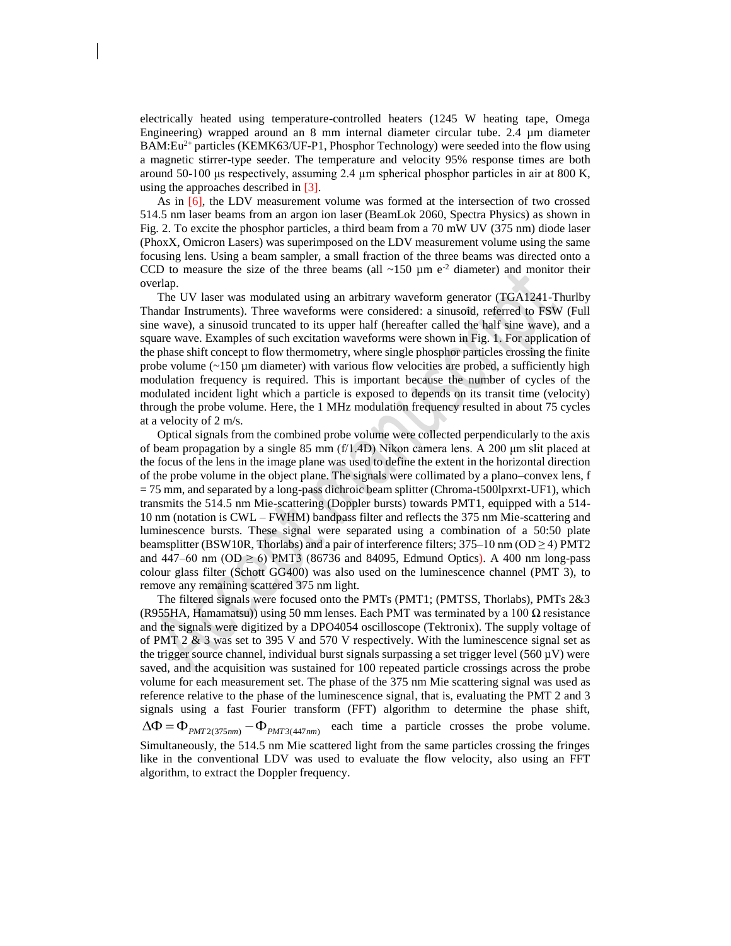electrically heated using temperature-controlled heaters (1245 W heating tape, Omega Engineering) wrapped around an 8 mm internal diameter circular tube. 2.4 µm diameter BAM:Eu<sup>2+</sup> particles (KEMK63/UF-P1, Phosphor Technology) were seeded into the flow using a magnetic stirrer-type seeder. The temperature and velocity 95% response times are both around 50-100 μs respectively, assuming 2.4 μm spherical phosphor particles in air at 800 K, using the approaches described in [3].

As in [6], the LDV measurement volume was formed at the intersection of two crossed 514.5 nm laser beams from an argon ion laser (BeamLok 2060, Spectra Physics) as shown in Fig. 2. To excite the phosphor particles, a third beam from a 70 mW UV (375 nm) diode laser (PhoxX, Omicron Lasers) was superimposed on the LDV measurement volume using the same focusing lens. Using a beam sampler, a small fraction of the three beams was directed onto a CCD to measure the size of the three beams (all  $\sim$ 150 µm e<sup>-2</sup> diameter) and monitor their overlap.

The UV laser was modulated using an arbitrary waveform generator (TGA1241-Thurlby Thandar Instruments). Three waveforms were considered: a sinusoid, referred to FSW (Full sine wave), a sinusoid truncated to its upper half (hereafter called the half sine wave), and a square wave. Examples of such excitation waveforms were shown in Fig. 1. For application of the phase shift concept to flow thermometry, where single phosphor particles crossing the finite probe volume  $(-150 \mu m)$  diameter) with various flow velocities are probed, a sufficiently high modulation frequency is required. This is important because the number of cycles of the modulated incident light which a particle is exposed to depends on its transit time (velocity) through the probe volume. Here, the 1 MHz modulation frequency resulted in about 75 cycles at a velocity of 2 m/s.

Optical signals from the combined probe volume were collected perpendicularly to the axis of beam propagation by a single 85 mm  $(f/1.4D)$  Nikon camera lens. A 200  $\mu$ m slit placed at the focus of the lens in the image plane was used to define the extent in the horizontal direction of the probe volume in the object plane. The signals were collimated by a plano–convex lens, f  $= 75$  mm, and separated by a long-pass dichroic beam splitter (Chroma-t500lpxrxt-UF1), which transmits the 514.5 nm Mie-scattering (Doppler bursts) towards PMT1, equipped with a 514- 10 nm (notation is CWL – FWHM) bandpass filter and reflects the 375 nm Mie-scattering and luminescence bursts. These signal were separated using a combination of a 50:50 plate beamsplitter (BSW10R, Thorlabs) and a pair of interference filters;  $375-10$  nm (OD  $\geq$  4) PMT2 and 447–60 nm (OD  $\geq$  6) PMT3 (86736 and 84095, Edmund Optics). A 400 nm long-pass colour glass filter (Schott GG400) was also used on the luminescence channel (PMT 3), to remove any remaining scattered 375 nm light.

The filtered signals were focused onto the PMTs (PMT1; (PMTSS, Thorlabs), PMTs 2&3 (R955HA, Hamamatsu)) using 50 mm lenses. Each PMT was terminated by a 100  $\Omega$  resistance and the signals were digitized by a DPO4054 oscilloscope (Tektronix). The supply voltage of of PMT 2 & 3 was set to 395 V and 570 V respectively. With the luminescence signal set as the trigger source channel, individual burst signals surpassing a set trigger level (560  $\mu$ V) were saved, and the acquisition was sustained for 100 repeated particle crossings across the probe volume for each measurement set. The phase of the 375 nm Mie scattering signal was used as reference relative to the phase of the luminescence signal, that is, evaluating the PMT 2 and 3 signals using a fast Fourier transform (FFT) algorithm to determine the phase shift,  $\Delta \Phi = \Phi_{PMT2(375nm)} - \Phi_{PMT3(447nm)}$  each time a particle crosses the probe volume. Simultaneously, the 514.5 nm Mie scattered light from the same particles crossing the fringes like in the conventional LDV was used to evaluate the flow velocity, also using an FFT algorithm, to extract the Doppler frequency.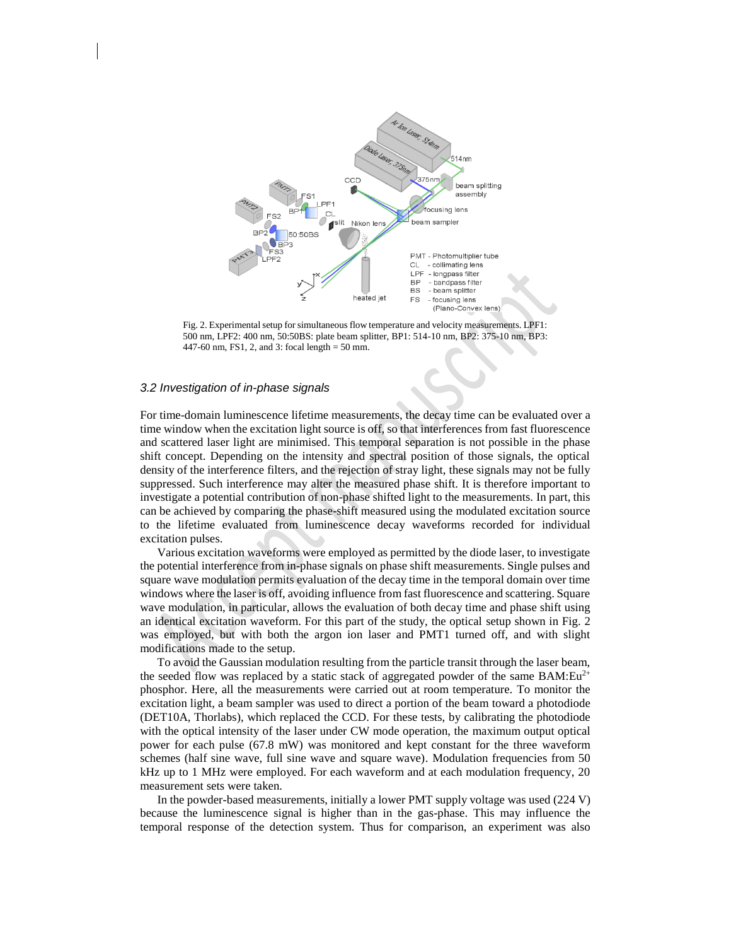

Fig. 2. Experimental setup for simultaneous flow temperature and velocity measurements. LPF1: 500 nm, LPF2: 400 nm, 50:50BS: plate beam splitter, BP1: 514-10 nm, BP2: 375-10 nm, BP3: 447-60 nm, FS1, 2, and 3: focal length = 50 mm.

# *3.2 Investigation of in-phase signals*

For time-domain luminescence lifetime measurements, the decay time can be evaluated over a time window when the excitation light source is off, so that interferences from fast fluorescence and scattered laser light are minimised. This temporal separation is not possible in the phase shift concept. Depending on the intensity and spectral position of those signals, the optical density of the interference filters, and the rejection of stray light, these signals may not be fully suppressed. Such interference may alter the measured phase shift. It is therefore important to investigate a potential contribution of non-phase shifted light to the measurements. In part, this can be achieved by comparing the phase-shift measured using the modulated excitation source to the lifetime evaluated from luminescence decay waveforms recorded for individual excitation pulses.

Various excitation waveforms were employed as permitted by the diode laser, to investigate the potential interference from in-phase signals on phase shift measurements. Single pulses and square wave modulation permits evaluation of the decay time in the temporal domain over time windows where the laser is off, avoiding influence from fast fluorescence and scattering. Square wave modulation, in particular, allows the evaluation of both decay time and phase shift using an identical excitation waveform. For this part of the study, the optical setup shown in Fig. 2 was employed, but with both the argon ion laser and PMT1 turned off, and with slight modifications made to the setup.

To avoid the Gaussian modulation resulting from the particle transit through the laser beam, the seeded flow was replaced by a static stack of aggregated powder of the same BAM: $Eu^{2+}$ phosphor. Here, all the measurements were carried out at room temperature. To monitor the excitation light, a beam sampler was used to direct a portion of the beam toward a photodiode (DET10A, Thorlabs), which replaced the CCD. For these tests, by calibrating the photodiode with the optical intensity of the laser under CW mode operation, the maximum output optical power for each pulse (67.8 mW) was monitored and kept constant for the three waveform schemes (half sine wave, full sine wave and square wave). Modulation frequencies from 50 kHz up to 1 MHz were employed. For each waveform and at each modulation frequency, 20 measurement sets were taken.

In the powder-based measurements, initially a lower PMT supply voltage was used (224 V) because the luminescence signal is higher than in the gas-phase. This may influence the temporal response of the detection system. Thus for comparison, an experiment was also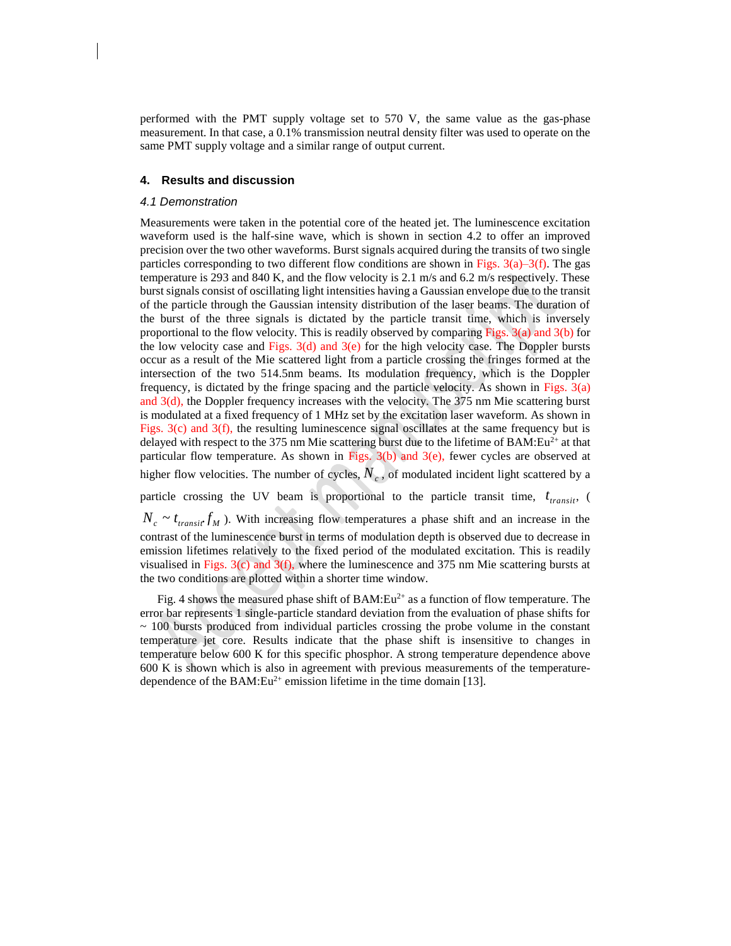performed with the PMT supply voltage set to 570 V, the same value as the gas-phase measurement. In that case, a 0.1% transmission neutral density filter was used to operate on the same PMT supply voltage and a similar range of output current.

# **4. Results and discussion**

#### *4.1 Demonstration*

Measurements were taken in the potential core of the heated jet. The luminescence excitation waveform used is the half-sine wave, which is shown in section 4.2 to offer an improved precision over the two other waveforms. Burst signals acquired during the transits of two single particles corresponding to two different flow conditions are shown in Figs.  $3(a)$ –3(f). The gas temperature is 293 and 840 K, and the flow velocity is 2.1 m/s and 6.2 m/s respectively. These burst signals consist of oscillating light intensities having a Gaussian envelope due to the transit of the particle through the Gaussian intensity distribution of the laser beams. The duration of the burst of the three signals is dictated by the particle transit time, which is inversely proportional to the flow velocity. This is readily observed by comparing Figs.  $3(a)$  and  $3(b)$  for the low velocity case and Figs.  $3(d)$  and  $3(e)$  for the high velocity case. The Doppler bursts occur as a result of the Mie scattered light from a particle crossing the fringes formed at the intersection of the two 514.5nm beams. Its modulation frequency, which is the Doppler frequency, is dictated by the fringe spacing and the particle velocity. As shown in Figs. 3(a) and 3(d), the Doppler frequency increases with the velocity. The 375 nm Mie scattering burst is modulated at a fixed frequency of 1 MHz set by the excitation laser waveform. As shown in Figs. 3(c) and 3(f), the resulting luminescence signal oscillates at the same frequency but is delayed with respect to the 375 nm Mie scattering burst due to the lifetime of BAM: $Eu^{2+}$  at that particular flow temperature. As shown in Figs.  $3(b)$  and  $3(e)$ , fewer cycles are observed at higher flow velocities. The number of cycles,  $N_c$ , of modulated incident light scattered by a particle crossing the UV beam is proportional to the particle transit time,  $t_{transit}$ , (  $N_c \sim t_{transit} f_M$ ). With increasing flow temperatures a phase shift and an increase in the

contrast of the luminescence burst in terms of modulation depth is observed due to decrease in emission lifetimes relatively to the fixed period of the modulated excitation. This is readily visualised in Figs. 3(c) and 3(f), where the luminescence and 375 nm Mie scattering bursts at the two conditions are plotted within a shorter time window.

Fig. 4 shows the measured phase shift of BAM: $Eu^{2+}$  as a function of flow temperature. The error bar represents 1 single-particle standard deviation from the evaluation of phase shifts for  $\sim$  100 bursts produced from individual particles crossing the probe volume in the constant temperature jet core. Results indicate that the phase shift is insensitive to changes in temperature below 600 K for this specific phosphor. A strong temperature dependence above 600 K is shown which is also in agreement with previous measurements of the temperaturedependence of the BAM: $Eu^{2+}$  emission lifetime in the time domain [13].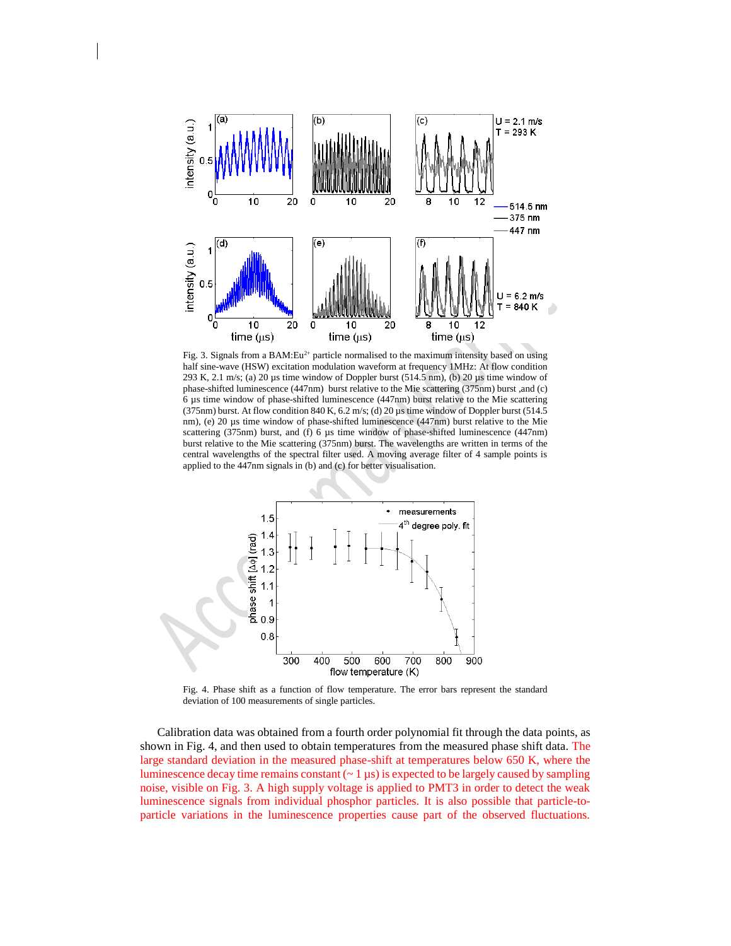

Fig. 3. Signals from a BAM: $Eu^{2+}$  particle normalised to the maximum intensity based on using half sine-wave (HSW) excitation modulation waveform at frequency 1MHz: At flow condition 293 K, 2.1 m/s; (a) 20  $\mu$ s time window of Doppler burst (514.5 nm), (b) 20  $\mu$ s time window of phase-shifted luminescence (447nm) burst relative to the Mie scattering (375nm) burst ,and (c) 6 µs time window of phase-shifted luminescence (447nm) burst relative to the Mie scattering (375nm) burst. At flow condition 840 K, 6.2 m/s; (d) 20 µs time window of Doppler burst (514.5 nm), (e) 20 µs time window of phase-shifted luminescence (447nm) burst relative to the Mie scattering (375nm) burst, and (f) 6 µs time window of phase-shifted luminescence (447nm) burst relative to the Mie scattering (375nm) burst. The wavelengths are written in terms of the central wavelengths of the spectral filter used. A moving average filter of 4 sample points is applied to the 447nm signals in (b) and (c) for better visualisation.



Fig. 4. Phase shift as a function of flow temperature. The error bars represent the standard deviation of 100 measurements of single particles.

Calibration data was obtained from a fourth order polynomial fit through the data points, as shown in Fig. 4, and then used to obtain temperatures from the measured phase shift data. The large standard deviation in the measured phase-shift at temperatures below 650 K, where the luminescence decay time remains constant  $(2 \mu s)$  is expected to be largely caused by sampling noise, visible on Fig. 3. A high supply voltage is applied to PMT3 in order to detect the weak luminescence signals from individual phosphor particles. It is also possible that particle-toparticle variations in the luminescence properties cause part of the observed fluctuations.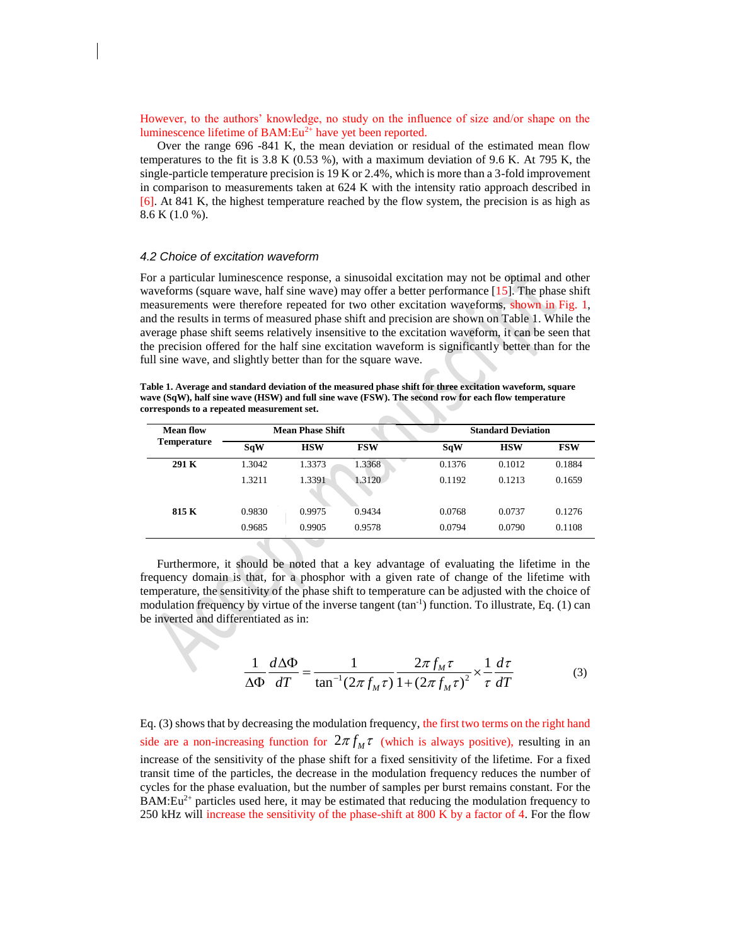However, to the authors' knowledge, no study on the influence of size and/or shape on the luminescence lifetime of  $BAM:Eu^{2+}$  have yet been reported.

Over the range 696 -841 K, the mean deviation or residual of the estimated mean flow temperatures to the fit is 3.8 K (0.53 %), with a maximum deviation of 9.6 K. At 795 K, the single-particle temperature precision is 19 K or 2.4%, which is more than a 3-fold improvement in comparison to measurements taken at 624 K with the intensity ratio approach described in [6]. At 841 K, the highest temperature reached by the flow system, the precision is as high as 8.6 K (1.0 %).

# *4.2 Choice of excitation waveform*

For a particular luminescence response, a sinusoidal excitation may not be optimal and other waveforms (square wave, half sine wave) may offer a better performance [15]. The phase shift measurements were therefore repeated for two other excitation waveforms, shown in Fig. 1, and the results in terms of measured phase shift and precision are shown on Table 1. While the average phase shift seems relatively insensitive to the excitation waveform, it can be seen that the precision offered for the half sine excitation waveform is significantly better than for the full sine wave, and slightly better than for the square wave.

**Table 1. Average and standard deviation of the measured phase shift for three excitation waveform, square wave (SqW), half sine wave (HSW) and full sine wave (FSW). The second row for each flow temperature corresponds to a repeated measurement set.** 

| Mean flow<br><b>Temperature</b> | <b>Mean Phase Shift</b> |            |            | <b>Standard Deviation</b> |            |            |
|---------------------------------|-------------------------|------------|------------|---------------------------|------------|------------|
|                                 | SqW                     | <b>HSW</b> | <b>FSW</b> | <b>SqW</b>                | <b>HSW</b> | <b>FSW</b> |
| 291 K                           | 1.3042                  | 1.3373     | 1.3368     | 0.1376                    | 0.1012     | 0.1884     |
|                                 | 1.3211                  | 1.3391     | 1.3120     | 0.1192                    | 0.1213     | 0.1659     |
| 815 K                           | 0.9830                  | 0.9975     | 0.9434     | 0.0768                    | 0.0737     | 0.1276     |
|                                 | 0.9685                  | 0.9905     | 0.9578     | 0.0794                    | 0.0790     | 0.1108     |
|                                 |                         |            |            |                           |            |            |

**Contract** 

Furthermore, it should be noted that a key advantage of evaluating the lifetime in the frequency domain is that, for a phosphor with a given rate of change of the lifetime with temperature, the sensitivity of the phase shift to temperature can be adjusted with the choice of modulation frequency by virtue of the inverse tangent  $(tan^{-1})$  function. To illustrate, Eq. (1) can be inverted and differentiated as in:

$$
\frac{1}{\Delta \Phi} \frac{d\Delta \Phi}{dT} = \frac{1}{\tan^{-1} (2\pi f_M \tau)} \frac{2\pi f_M \tau}{1 + (2\pi f_M \tau)^2} \times \frac{1}{\tau} \frac{d\tau}{dT}
$$
(3)

Eq. (3) shows that by decreasing the modulation frequency, the first two terms on the right hand side are a non-increasing function for  $2\pi f_M^{\dagger}$  (which is always positive), resulting in an increase of the sensitivity of the phase shift for a fixed sensitivity of the lifetime. For a fixed transit time of the particles, the decrease in the modulation frequency reduces the number of cycles for the phase evaluation, but the number of samples per burst remains constant. For the  $BAM:Eu^{2+}$  particles used here, it may be estimated that reducing the modulation frequency to 250 kHz will increase the sensitivity of the phase-shift at 800 K by a factor of 4. For the flow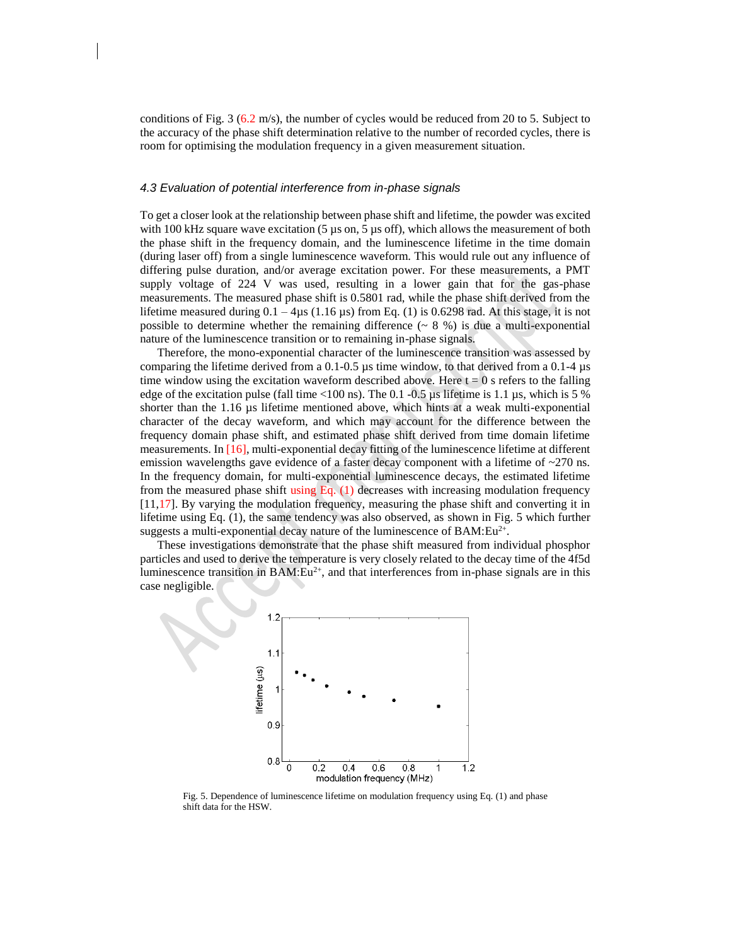conditions of Fig. 3  $(6.2 \text{ m/s})$ , the number of cycles would be reduced from 20 to 5. Subject to the accuracy of the phase shift determination relative to the number of recorded cycles, there is room for optimising the modulation frequency in a given measurement situation.

#### *4.3 Evaluation of potential interference from in-phase signals*

To get a closer look at the relationship between phase shift and lifetime, the powder was excited with 100 kHz square wave excitation (5  $\mu$ s on, 5  $\mu$ s off), which allows the measurement of both the phase shift in the frequency domain, and the luminescence lifetime in the time domain (during laser off) from a single luminescence waveform. This would rule out any influence of differing pulse duration, and/or average excitation power. For these measurements, a PMT supply voltage of 224 V was used, resulting in a lower gain that for the gas-phase measurements. The measured phase shift is 0.5801 rad, while the phase shift derived from the lifetime measured during  $0.1 - 4\mu s$  (1.16  $\mu s$ ) from Eq. (1) is 0.6298 rad. At this stage, it is not possible to determine whether the remaining difference  $( \sim 8 \%)$  is due a multi-exponential nature of the luminescence transition or to remaining in-phase signals.

Therefore, the mono-exponential character of the luminescence transition was assessed by comparing the lifetime derived from a 0.1-0.5 µs time window, to that derived from a 0.1-4 µs time window using the excitation waveform described above. Here  $t = 0$  s refers to the falling edge of the excitation pulse (fall time  $\langle 100 \text{ ns} \rangle$ ). The 0.1 -0.5 µs lifetime is 1.1 µs, which is 5 % shorter than the 1.16 µs lifetime mentioned above, which hints at a weak multi-exponential character of the decay waveform, and which may account for the difference between the frequency domain phase shift, and estimated phase shift derived from time domain lifetime measurements. In [16], multi-exponential decay fitting of the luminescence lifetime at different emission wavelengths gave evidence of a faster decay component with a lifetime of  $\sim$ 270 ns. In the frequency domain, for multi-exponential luminescence decays, the estimated lifetime from the measured phase shift using Eq.  $(1)$  decreases with increasing modulation frequency [11,17]. By varying the modulation frequency, measuring the phase shift and converting it in lifetime using Eq. (1), the same tendency was also observed, as shown in Fig. 5 which further suggests a multi-exponential decay nature of the luminescence of  $BAM:Eu^{2+}$ .

These investigations demonstrate that the phase shift measured from individual phosphor particles and used to derive the temperature is very closely related to the decay time of the 4f5d luminescence transition in  $BAM:Eu^{2+}$ , and that interferences from in-phase signals are in this case negligible.



Fig. 5. Dependence of luminescence lifetime on modulation frequency using Eq. (1) and phase shift data for the HSW.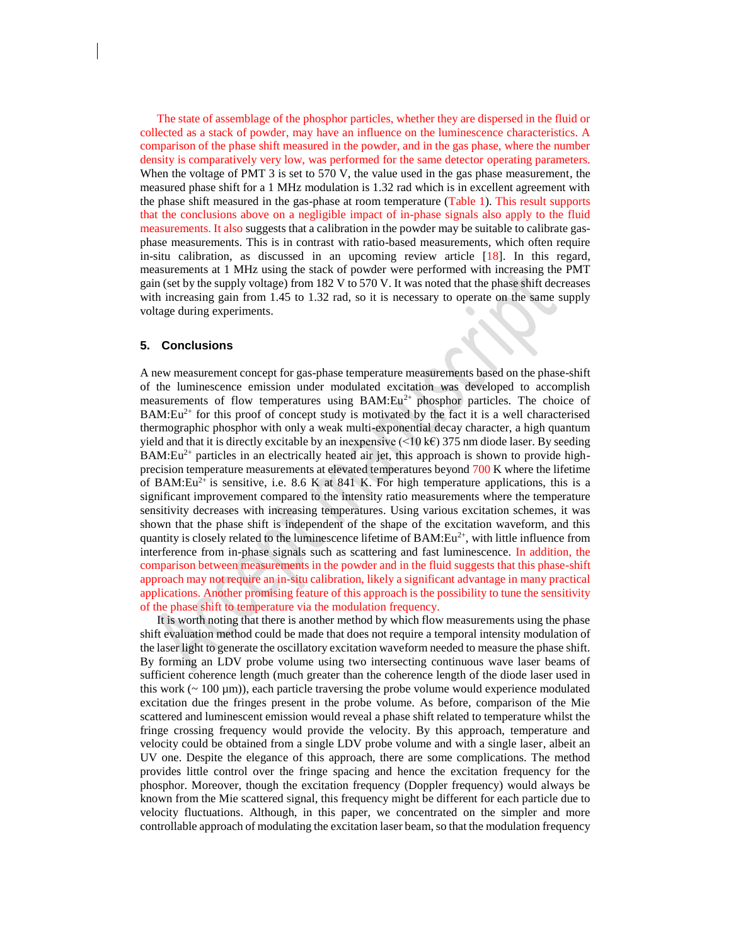The state of assemblage of the phosphor particles, whether they are dispersed in the fluid or collected as a stack of powder, may have an influence on the luminescence characteristics. A comparison of the phase shift measured in the powder, and in the gas phase, where the number density is comparatively very low, was performed for the same detector operating parameters. When the voltage of PMT 3 is set to 570 V, the value used in the gas phase measurement, the measured phase shift for a 1 MHz modulation is 1.32 rad which is in excellent agreement with the phase shift measured in the gas-phase at room temperature (Table 1). This result supports that the conclusions above on a negligible impact of in-phase signals also apply to the fluid measurements. It also suggests that a calibration in the powder may be suitable to calibrate gasphase measurements. This is in contrast with ratio-based measurements, which often require in-situ calibration, as discussed in an upcoming review article [18]. In this regard, measurements at 1 MHz using the stack of powder were performed with increasing the PMT gain (set by the supply voltage) from 182 V to 570 V. It was noted that the phase shift decreases with increasing gain from 1.45 to 1.32 rad, so it is necessary to operate on the same supply voltage during experiments.

#### **5. Conclusions**

A new measurement concept for gas-phase temperature measurements based on the phase-shift of the luminescence emission under modulated excitation was developed to accomplish measurements of flow temperatures using  $BAM:Eu^{2+}$  phosphor particles. The choice of  $BAM:Eu^{2+}$  for this proof of concept study is motivated by the fact it is a well characterised thermographic phosphor with only a weak multi-exponential decay character, a high quantum yield and that it is directly excitable by an inexpensive  $(\leq 10 \text{ kg})$  375 nm diode laser. By seeding  $BAM:Eu^{2+}$  particles in an electrically heated air jet, this approach is shown to provide highprecision temperature measurements at elevated temperatures beyond 700 K where the lifetime of BAM: Eu<sup>2+</sup> is sensitive, i.e. 8.6 K at 841 K. For high temperature applications, this is a significant improvement compared to the intensity ratio measurements where the temperature sensitivity decreases with increasing temperatures. Using various excitation schemes, it was shown that the phase shift is independent of the shape of the excitation waveform, and this quantity is closely related to the luminescence lifetime of BAM:Eu<sup>2+</sup>, with little influence from interference from in-phase signals such as scattering and fast luminescence. In addition, the comparison between measurements in the powder and in the fluid suggests that this phase-shift approach may not require an in-situ calibration, likely a significant advantage in many practical applications. Another promising feature of this approach is the possibility to tune the sensitivity of the phase shift to temperature via the modulation frequency.

It is worth noting that there is another method by which flow measurements using the phase shift evaluation method could be made that does not require a temporal intensity modulation of the laser light to generate the oscillatory excitation waveform needed to measure the phase shift. By forming an LDV probe volume using two intersecting continuous wave laser beams of sufficient coherence length (much greater than the coherence length of the diode laser used in this work ( $\sim 100 \text{ }\mu\text{m}$ ), each particle traversing the probe volume would experience modulated excitation due the fringes present in the probe volume. As before, comparison of the Mie scattered and luminescent emission would reveal a phase shift related to temperature whilst the fringe crossing frequency would provide the velocity. By this approach, temperature and velocity could be obtained from a single LDV probe volume and with a single laser, albeit an UV one. Despite the elegance of this approach, there are some complications. The method provides little control over the fringe spacing and hence the excitation frequency for the phosphor. Moreover, though the excitation frequency (Doppler frequency) would always be known from the Mie scattered signal, this frequency might be different for each particle due to velocity fluctuations. Although, in this paper, we concentrated on the simpler and more controllable approach of modulating the excitation laser beam, so that the modulation frequency